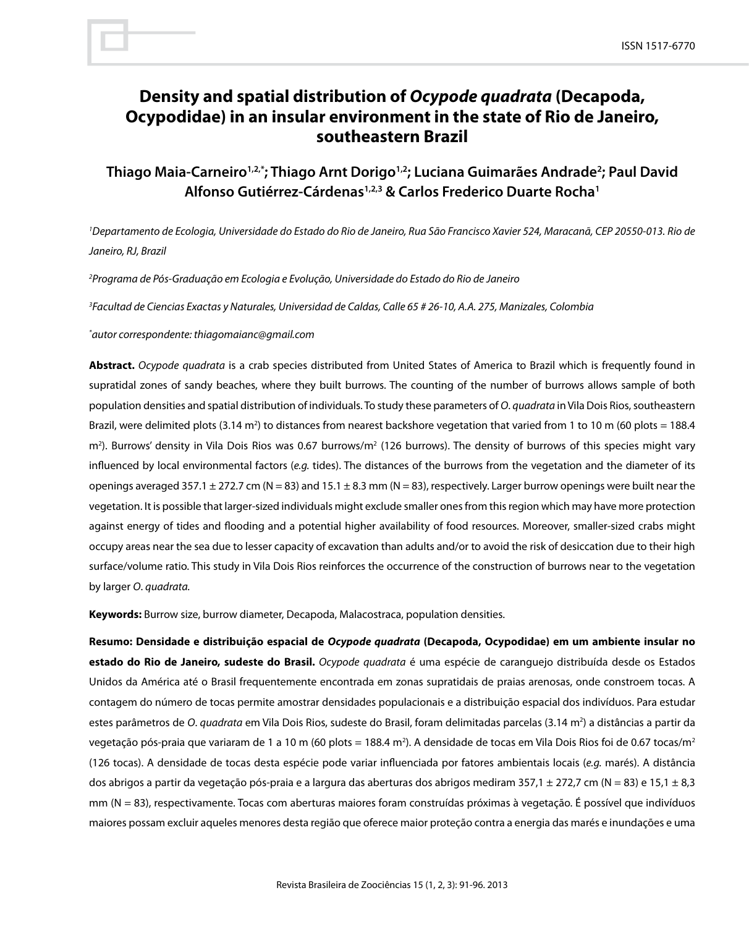# **Density and spatial distribution of** *Ocypode quadrata* **(Decapoda, Ocypodidae) in an insular environment in the state of Rio de Janeiro, southeastern Brazil**

## **Thiago Maia-Carneiro1,2,\*; Thiago Arnt Dorigo1,2; Luciana Guimarães Andrade2 ; Paul David Alfonso Gutiérrez-Cárdenas1,2,3 & Carlos Frederico Duarte Rocha1**

*1 Departamento de Ecologia, Universidade do Estado do Rio de Janeiro, Rua São Francisco Xavier 524, Maracanã, CEP 20550-013. Rio de Janeiro, RJ, Brazil*

*2 Programa de Pós-Graduação em Ecologia e Evolução, Universidade do Estado do Rio de Janeiro*

*3 Facultad de Ciencias Exactas y Naturales, Universidad de Caldas, Calle 65 # 26-10, A.A. 275, Manizales, Colombia*

*\* autor correspondente: thiagomaianc@gmail.com*

**Abstract.** *Ocypode quadrata* is a crab species distributed from United States of America to Brazil which is frequently found in supratidal zones of sandy beaches, where they built burrows. The counting of the number of burrows allows sample of both population densities and spatial distribution of individuals. To study these parameters of *O*. *quadrata* in Vila Dois Rios, southeastern Brazil, were delimited plots (3.14 m<sup>2</sup>) to distances from nearest backshore vegetation that varied from 1 to 10 m (60 plots = 188.4 m<sup>2</sup>). Burrows' density in Vila Dois Rios was 0.67 burrows/m<sup>2</sup> (126 burrows). The density of burrows of this species might vary influenced by local environmental factors (*e.g.* tides). The distances of the burrows from the vegetation and the diameter of its openings averaged 357.1  $\pm$  272.7 cm (N = 83) and 15.1  $\pm$  8.3 mm (N = 83), respectively. Larger burrow openings were built near the vegetation. It is possible that larger-sized individuals might exclude smaller ones from this region which may have more protection against energy of tides and flooding and a potential higher availability of food resources. Moreover, smaller-sized crabs might occupy areas near the sea due to lesser capacity of excavation than adults and/or to avoid the risk of desiccation due to their high surface/volume ratio. This study in Vila Dois Rios reinforces the occurrence of the construction of burrows near to the vegetation by larger *O*. *quadrata.*

**Keywords:** Burrow size, burrow diameter, Decapoda, Malacostraca, population densities.

**Resumo: Densidade e distribuição espacial de** *Ocypode quadrata* **(Decapoda, Ocypodidae) em um ambiente insular no estado do Rio de Janeiro, sudeste do Brasil.** *Ocypode quadrata* é uma espécie de caranguejo distribuída desde os Estados Unidos da América até o Brasil frequentemente encontrada em zonas supratidais de praias arenosas, onde constroem tocas. A contagem do número de tocas permite amostrar densidades populacionais e a distribuição espacial dos indivíduos. Para estudar estes parâmetros de *O*. *quadrata* em Vila Dois Rios, sudeste do Brasil, foram delimitadas parcelas (3.14 m2 ) a distâncias a partir da vegetação pós-praia que variaram de 1 a 10 m (60 plots = 188.4 m²). A densidade de tocas em Vila Dois Rios foi de 0.67 tocas/m $^{\circ}$ (126 tocas). A densidade de tocas desta espécie pode variar influenciada por fatores ambientais locais (*e.g.* marés). A distância dos abrigos a partir da vegetação pós-praia e a largura das aberturas dos abrigos mediram 357,1 ± 272,7 cm (N = 83) e 15,1 ± 8,3 mm (N = 83), respectivamente. Tocas com aberturas maiores foram construídas próximas à vegetação. É possível que indivíduos maiores possam excluir aqueles menores desta região que oferece maior proteção contra a energia das marés e inundações e uma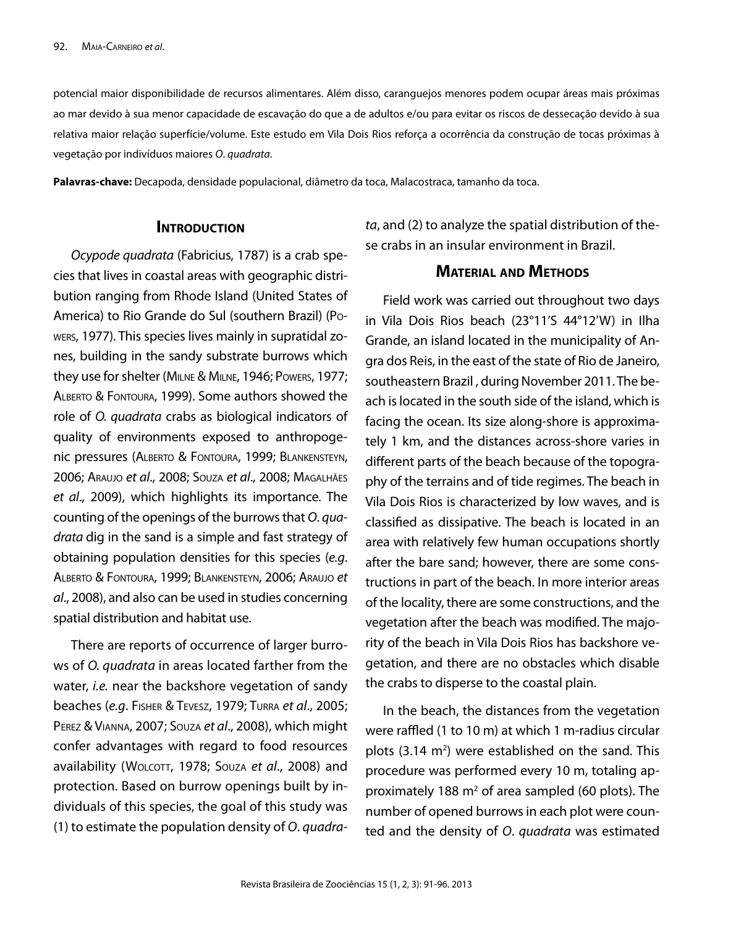potencial maior disponibilidade de recursos alimentares. Além disso, caranguejos menores podem ocupar áreas mais próximas ao mar devido à sua menor capacidade de escavação do que a de adultos e/ou para evitar os riscos de dessecação devido à sua relativa maior relação superfície/volume. Este estudo em Vila Dois Rios reforça a ocorrência da construção de tocas próximas à vegetação por indivíduos maiores *O*. *quadrata*.

**Palavras-chave:** Decapoda, densidade populacional, diâmetro da toca, Malacostraca, tamanho da toca.

#### **INTRODUCTION**

*Ocypode quadrata* (Fabricius, 1787) is a crab species that lives in coastal areas with geographic distribution ranging from Rhode Island (United States of America) to Rio Grande do Sul (southern Brazil) (Powers, 1977). This species lives mainly in supratidal zones, building in the sandy substrate burrows which they use for shelter (Milne & Milne, 1946; Powers, 1977; Alberto & Fontoura, 1999). Some authors showed the role of *O. quadrata* crabs as biological indicators of quality of environments exposed to anthropogenic pressures (Alberto & Fontoura, 1999; Blankensteyn, 2006; Araujo *et al*., 2008; Souza *et al*., 2008; Magalhães *et al*., 2009), which highlights its importance. The counting of the openings of the burrows that *O*. *quadrata* dig in the sand is a simple and fast strategy of obtaining population densities for this species (*e.g*. Alberto & Fontoura, 1999; Blankensteyn, 2006; Araujo *et al*., 2008), and also can be used in studies concerning spatial distribution and habitat use.

There are reports of occurrence of larger burrows of *O. quadrata* in areas located farther from the water, *i.e.* near the backshore vegetation of sandy beaches (*e.g*. Fisher & Tevesz, 1979; Turra *et al*., 2005; Perez & Vianna, 2007; Souza *et al*., 2008), which might confer advantages with regard to food resources availability (WOLCOTT, 1978; SOUZA et al., 2008) and protection. Based on burrow openings built by individuals of this species, the goal of this study was (1) to estimate the population density of *O*. *quadra-* *ta*, and (2) to analyze the spatial distribution of these crabs in an insular environment in Brazil.

## **Material and Methods**

Field work was carried out throughout two days in Vila Dois Rios beach (23°11'S 44°12'W) in Ilha Grande, an island located in the municipality of Angra dos Reis, in the east of the state of Rio de Janeiro, southeastern Brazil , during November 2011. The beach is located in the south side of the island, which is facing the ocean. Its size along-shore is approximately 1 km, and the distances across-shore varies in different parts of the beach because of the topography of the terrains and of tide regimes. The beach in Vila Dois Rios is characterized by low waves, and is classified as dissipative. The beach is located in an area with relatively few human occupations shortly after the bare sand; however, there are some constructions in part of the beach. In more interior areas of the locality, there are some constructions, and the vegetation after the beach was modified. The majority of the beach in Vila Dois Rios has backshore vegetation, and there are no obstacles which disable the crabs to disperse to the coastal plain.

In the beach, the distances from the vegetation were raffled (1 to 10 m) at which 1 m-radius circular plots  $(3.14 \text{ m}^2)$  were established on the sand. This procedure was performed every 10 m, totaling approximately 188  $m<sup>2</sup>$  of area sampled (60 plots). The number of opened burrows in each plot were counted and the density of *O*. *quadrata* was estimated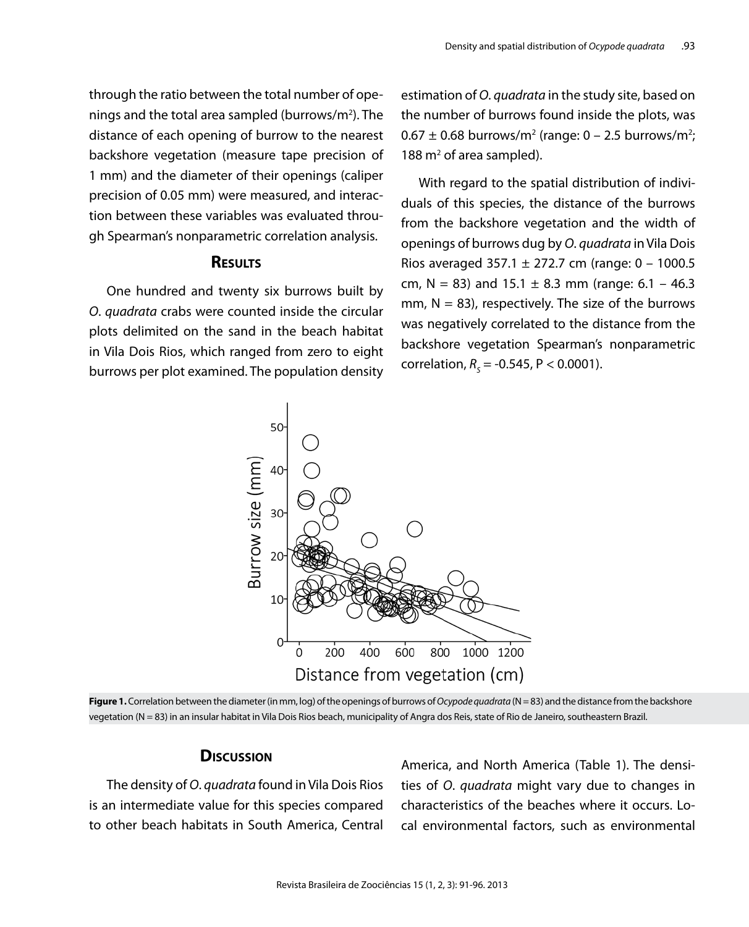through the ratio between the total number of openings and the total area sampled (burrows/m<sup>2</sup>). The distance of each opening of burrow to the nearest backshore vegetation (measure tape precision of 1 mm) and the diameter of their openings (caliper precision of 0.05 mm) were measured, and interaction between these variables was evaluated through Spearman's nonparametric correlation analysis.

## **Results**

One hundred and twenty six burrows built by *O*. *quadrata* crabs were counted inside the circular plots delimited on the sand in the beach habitat in Vila Dois Rios, which ranged from zero to eight burrows per plot examined. The population density estimation of *O*. *quadrata* in the study site, based on the number of burrows found inside the plots, was  $0.67 \pm 0.68$  burrows/m<sup>2</sup> (range:  $0 - 2.5$  burrows/m<sup>2</sup>; 188 $m<sup>2</sup>$  of area sampled).

With regard to the spatial distribution of individuals of this species, the distance of the burrows from the backshore vegetation and the width of openings of burrows dug by *O*. *quadrata* in Vila Dois Rios averaged 357.1  $\pm$  272.7 cm (range: 0 – 1000.5 cm, N = 83) and 15.1  $\pm$  8.3 mm (range: 6.1 – 46.3 mm,  $N = 83$ ), respectively. The size of the burrows was negatively correlated to the distance from the backshore vegetation Spearman's nonparametric correlation,  $R_s$  = -0.545, P < 0.0001).



Figure 1. Correlation between the diameter (in mm, log) of the openings of burrows of *Ocypode quadrata* (N = 83) and the distance from the backshore vegetation (N = 83) in an insular habitat in Vila Dois Rios beach, municipality of Angra dos Reis, state of Rio de Janeiro, southeastern Brazil.

### **Discussion**

The density of *O*. *quadrata* found in Vila Dois Rios is an intermediate value for this species compared to other beach habitats in South America, Central America, and North America (Table 1). The densities of *O*. *quadrata* might vary due to changes in characteristics of the beaches where it occurs. Local environmental factors, such as environmental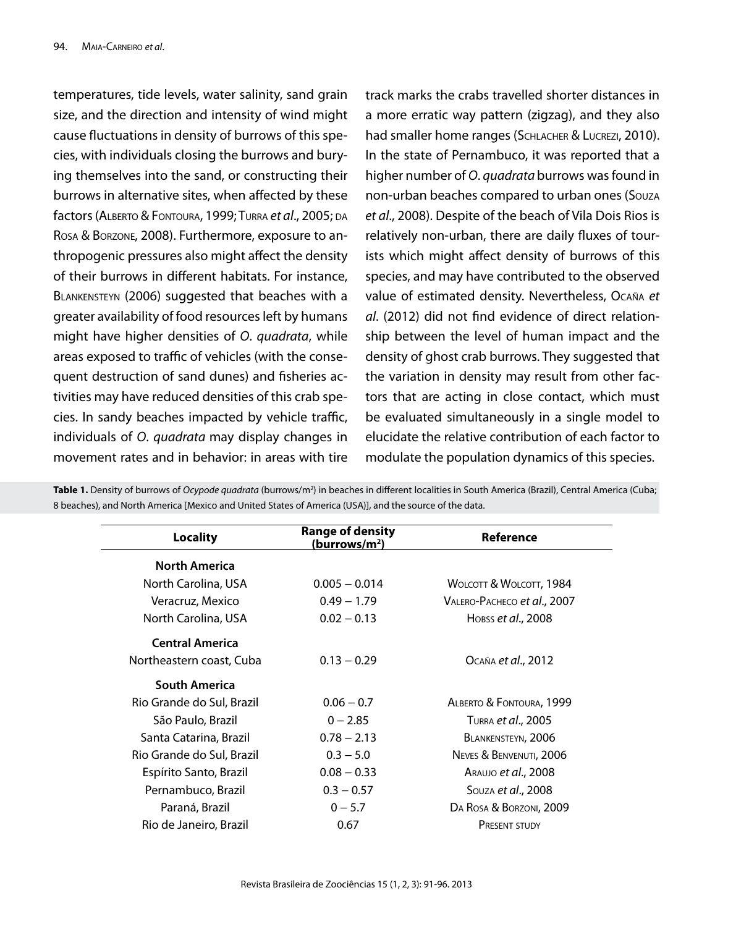temperatures, tide levels, water salinity, sand grain size, and the direction and intensity of wind might cause fluctuations in density of burrows of this species, with individuals closing the burrows and burying themselves into the sand, or constructing their burrows in alternative sites, when affected by these factors (Alberto & Fontoura, 1999; Turra *et al*., 2005; da Rosa & Borzone, 2008). Furthermore, exposure to anthropogenic pressures also might affect the density of their burrows in different habitats. For instance, BLANKENSTEYN (2006) suggested that beaches with a greater availability of food resources left by humans might have higher densities of *O*. *quadrata*, while areas exposed to traffic of vehicles (with the consequent destruction of sand dunes) and fisheries activities may have reduced densities of this crab species. In sandy beaches impacted by vehicle traffic, individuals of *O*. *quadrata* may display changes in movement rates and in behavior: in areas with tire

track marks the crabs travelled shorter distances in a more erratic way pattern (zigzag), and they also had smaller home ranges (SCHLACHER & LUCREZI, 2010). In the state of Pernambuco, it was reported that a higher number of *O*. *quadrata* burrows was found in non-urban beaches compared to urban ones (Souza *et al*., 2008). Despite of the beach of Vila Dois Rios is relatively non-urban, there are daily fluxes of tourists which might affect density of burrows of this species, and may have contributed to the observed value of estimated density. Nevertheless, Ocaña *et al*. (2012) did not find evidence of direct relationship between the level of human impact and the density of ghost crab burrows. They suggested that the variation in density may result from other factors that are acting in close contact, which must be evaluated simultaneously in a single model to elucidate the relative contribution of each factor to modulate the population dynamics of this species.

| <b>Locality</b>           | <b>Range of density</b><br>(burrows/m <sup>2</sup> ) | Reference                   |
|---------------------------|------------------------------------------------------|-----------------------------|
| <b>North America</b>      |                                                      |                             |
| North Carolina, USA       | $0.005 - 0.014$                                      | WOLCOTT & WOLCOTT, 1984     |
| Veracruz, Mexico          | $0.49 - 1.79$                                        | VALERO-PACHECO et al., 2007 |
| North Carolina, USA       | $0.02 - 0.13$                                        | Hobss et al., 2008          |
| <b>Central America</b>    |                                                      |                             |
| Northeastern coast, Cuba  | $0.13 - 0.29$                                        | OCAÑA et al., 2012          |
| <b>South America</b>      |                                                      |                             |
| Rio Grande do Sul, Brazil | $0.06 - 0.7$                                         | ALBERTO & FONTOURA, 1999    |
| São Paulo, Brazil         | $0 - 2.85$                                           | TURRA <i>et al.</i> , 2005  |
| Santa Catarina, Brazil    | $0.78 - 2.13$                                        | BLANKENSTEYN, 2006          |
| Rio Grande do Sul, Brazil | $0.3 - 5.0$                                          | NEVES & BENVENUTI, 2006     |
| Espírito Santo, Brazil    | $0.08 - 0.33$                                        | ARAUJO et al., 2008         |
| Pernambuco, Brazil        | $0.3 - 0.57$                                         | Souza et al., 2008          |
| Paraná, Brazil            | $0 - 5.7$                                            | DA ROSA & BORZONI, 2009     |
| Rio de Janeiro, Brazil    | 0.67                                                 | <b>PRESENT STUDY</b>        |

**Table 1.** Density of burrows of *Ocypode quadrata* (burrows/m2 ) in beaches in different localities in South America (Brazil), Central America (Cuba; 8 beaches), and North America [Mexico and United States of America (USA)], and the source of the data.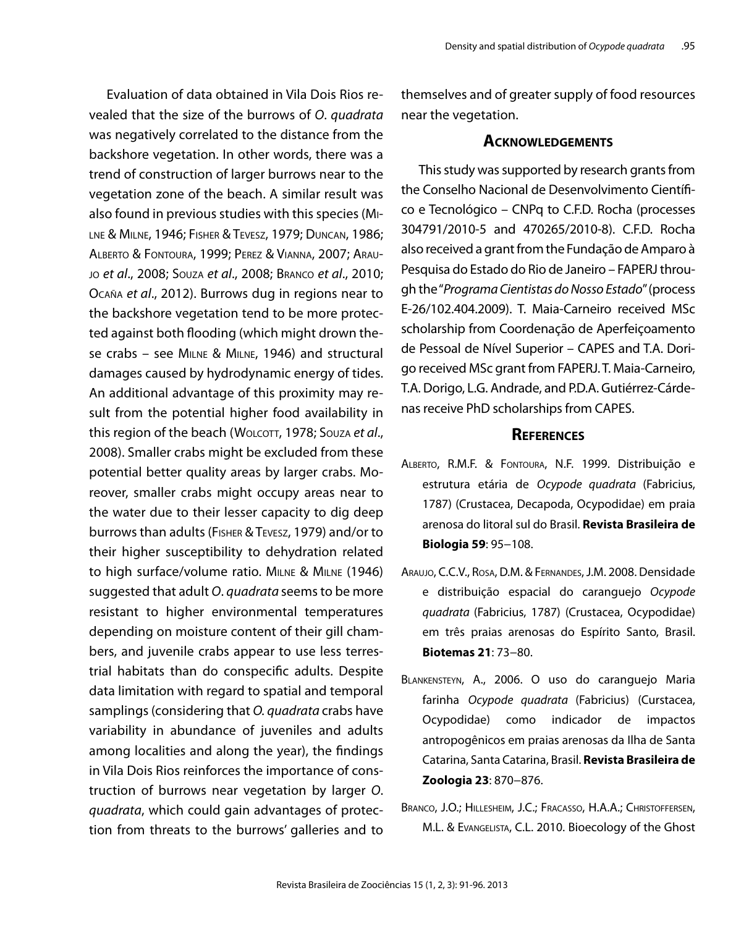Evaluation of data obtained in Vila Dois Rios revealed that the size of the burrows of *O*. *quadrata*  was negatively correlated to the distance from the backshore vegetation. In other words, there was a trend of construction of larger burrows near to the vegetation zone of the beach. A similar result was also found in previous studies with this species (Milne & Milne, 1946; Fisher & Tevesz, 1979; Duncan, 1986; Alberto & Fontoura, 1999; Perez & Vianna, 2007; Araujo *et al*., 2008; Souza *et al*., 2008; Branco *et al*., 2010; Ocaña *et al*., 2012). Burrows dug in regions near to the backshore vegetation tend to be more protected against both flooding (which might drown these crabs – see Milne & Milne, 1946) and structural damages caused by hydrodynamic energy of tides. An additional advantage of this proximity may result from the potential higher food availability in this region of the beach (WOLCOTT, 1978; Souza et al., 2008). Smaller crabs might be excluded from these potential better quality areas by larger crabs. Moreover, smaller crabs might occupy areas near to the water due to their lesser capacity to dig deep burrows than adults (Fisher & Tevesz, 1979) and/or to their higher susceptibility to dehydration related to high surface/volume ratio. Milne & Milne (1946) suggested that adult *O*. *quadrata* seems to be more resistant to higher environmental temperatures depending on moisture content of their gill chambers, and juvenile crabs appear to use less terrestrial habitats than do conspecific adults. Despite data limitation with regard to spatial and temporal samplings (considering that *O. quadrata* crabs have variability in abundance of juveniles and adults among localities and along the year), the findings in Vila Dois Rios reinforces the importance of construction of burrows near vegetation by larger *O*. *quadrata*, which could gain advantages of protection from threats to the burrows' galleries and to themselves and of greater supply of food resources near the vegetation.

#### **Acknowledgements**

This study was supported by research grants from the Conselho Nacional de Desenvolvimento Científico e Tecnológico – CNPq to C.F.D. Rocha (processes 304791/2010-5 and 470265/2010-8). C.F.D. Rocha also received a grant from the Fundação de Amparo à Pesquisa do Estado do Rio de Janeiro – FAPERJ through the "*Programa Cientistas do Nosso Estado*" (process E-26/102.404.2009). T. Maia-Carneiro received MSc scholarship from Coordenação de Aperfeiçoamento de Pessoal de Nível Superior – CAPES and T.A. Dorigo received MSc grant from FAPERJ. T. Maia-Carneiro, T.A. Dorigo, L.G. Andrade, and P.D.A. Gutiérrez-Cárdenas receive PhD scholarships from CAPES.

#### **References**

- Alberto, R.M.F. & Fontoura, N.F. 1999. Distribuição e estrutura etária de *Ocypode quadrata* (Fabricius, 1787) (Crustacea, Decapoda, Ocypodidae) em praia arenosa do litoral sul do Brasil. **Revista Brasileira de Biologia 59**: 95−108.
- Araujo, C.C.V., Rosa, D.M. & Fernandes, J.M. 2008. Densidade e distribuição espacial do caranguejo *Ocypode quadrata* (Fabricius, 1787) (Crustacea, Ocypodidae) em três praias arenosas do Espírito Santo, Brasil. **Biotemas 21**: 73−80.
- Blankensteyn, A., 2006. O uso do caranguejo Maria farinha *Ocypode quadrata* (Fabricius) (Curstacea, Ocypodidae) como indicador de impactos antropogênicos em praias arenosas da Ilha de Santa Catarina, Santa Catarina, Brasil. **Revista Brasileira de Zoologia 23**: 870−876.
- Branco, J.O.; Hillesheim, J.C.; Fracasso, H.A.A.; Christoffersen, M.L. & Evangelista, C.L. 2010. Bioecology of the Ghost